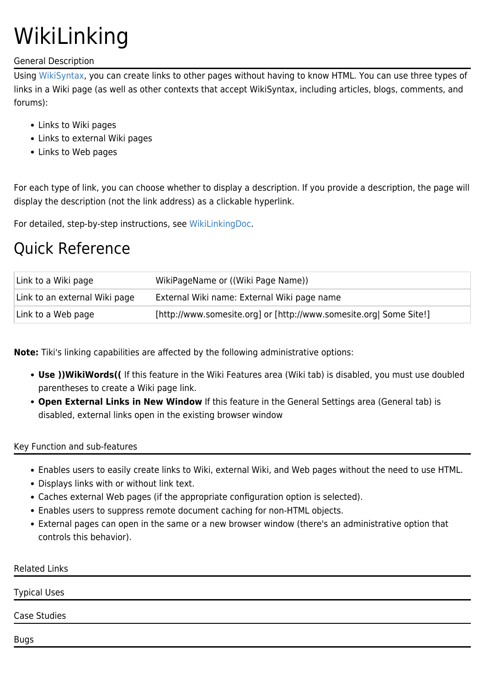# WikiLinking

### General Description

Using [WikiSyntax](https://tiki.org/WikiSyntax), you can create links to other pages without having to know HTML. You can use three types of links in a Wiki page (as well as other contexts that accept WikiSyntax, including articles, blogs, comments, and forums):

- Links to Wiki pages
- Links to external Wiki pages
- Links to Web pages

For each type of link, you can choose whether to display a description. If you provide a description, the page will display the description (not the link address) as a clickable hyperlink.

For detailed, step-by-step instructions, see [WikiLinkingDoc](https://tiki.org/WikiLinkingDoc).

## Quick Reference

| Link to a Wiki page           | WikiPageName or ((Wiki Page Name))                                 |
|-------------------------------|--------------------------------------------------------------------|
| Link to an external Wiki page | External Wiki name: External Wiki page name                        |
| Link to a Web page            | [http://www.somesite.org] or [http://www.somesite.org] Some Site!] |

**Note:** Tiki's linking capabilities are affected by the following administrative options:

- **Use ))WikiWords((** If this feature in the Wiki Features area (Wiki tab) is disabled, you must use doubled parentheses to create a Wiki page link.
- **Open External Links in New Window** If this feature in the General Settings area (General tab) is disabled, external links open in the existing browser window

### Key Function and sub-features

- Enables users to easily create links to Wiki, external Wiki, and Web pages without the need to use HTML.
- Displays links with or without link text.
- Caches external Web pages (if the appropriate configuration option is selected).
- Enables users to suppress remote document caching for non-HTML objects.
- External pages can open in the same or a new browser window (there's an administrative option that controls this behavior).

| <b>Related Links</b> |  |  |
|----------------------|--|--|
| <b>Typical Uses</b>  |  |  |
| Case Studies         |  |  |
| <b>Bugs</b>          |  |  |